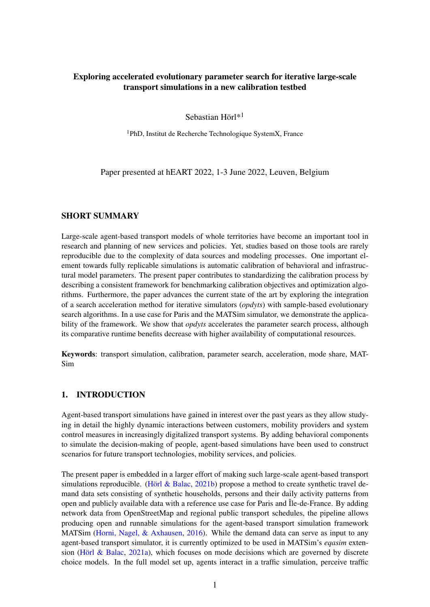## Exploring accelerated evolutionary parameter search for iterative large-scale transport simulations in a new calibration testbed

Sebastian Hörl\*<sup>1</sup>

 $1$ PhD, Institut de Recherche Technologique SystemX, France

Paper presented at hEART 2022, 1-3 June 2022, Leuven, Belgium

### SHORT SUMMARY

Large-scale agent-based transport models of whole territories have become an important tool in research and planning of new services and policies. Yet, studies based on those tools are rarely reproducible due to the complexity of data sources and modeling processes. One important element towards fully replicable simulations is automatic calibration of behavioral and infrastructural model parameters. The present paper contributes to standardizing the calibration process by describing a consistent framework for benchmarking calibration objectives and optimization algorithms. Furthermore, the paper advances the current state of the art by exploring the integration of a search acceleration method for iterative simulators (*opdyts*) with sample-based evolutionary search algorithms. In a use case for Paris and the MATSim simulator, we demonstrate the applicability of the framework. We show that *opdyts* accelerates the parameter search process, although its comparative runtime benefits decrease with higher availability of computational resources.

Keywords: transport simulation, calibration, parameter search, acceleration, mode share, MAT-Sim

### 1. INTRODUCTION

Agent-based transport simulations have gained in interest over the past years as they allow studying in detail the highly dynamic interactions between customers, mobility providers and system control measures in increasingly digitalized transport systems. By adding behavioral components to simulate the decision-making of people, agent-based simulations have been used to construct scenarios for future transport technologies, mobility services, and policies.

The present paper is embedded in a larger effort of making such large-scale agent-based transport simulations reproducible. [\(Hörl & Balac,](#page-8-0)  $2021b$ ) propose a method to create synthetic travel demand data sets consisting of synthetic households, persons and their daily activity patterns from open and publicly available data with a reference use case for Paris and Île-de-France. By adding network data from OpenStreetMap and regional public transport schedules, the pipeline allows producing open and runnable simulations for the agent-based transport simulation framework MATSim [\(Horni, Nagel, & Axhausen,](#page-8-1) [2016\)](#page-8-1). While the demand data can serve as input to any agent-based transport simulator, it is currently optimized to be used in MATSim's *eqasim* extension [\(Hörl & Balac,](#page-8-2) [2021a\)](#page-8-2), which focuses on mode decisions which are governed by discrete choice models. In the full model set up, agents interact in a traffic simulation, perceive traffic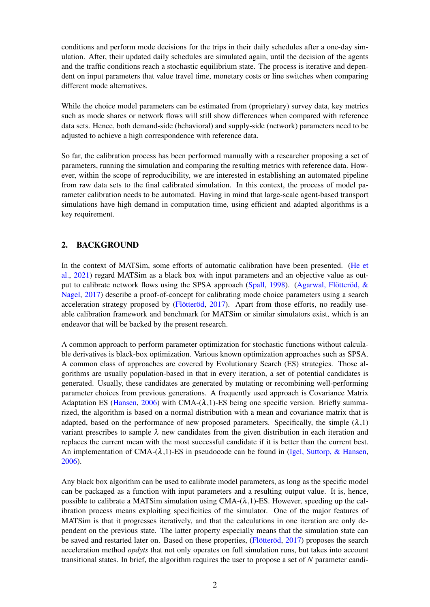conditions and perform mode decisions for the trips in their daily schedules after a one-day simulation. After, their updated daily schedules are simulated again, until the decision of the agents and the traffic conditions reach a stochastic equilibrium state. The process is iterative and dependent on input parameters that value travel time, monetary costs or line switches when comparing different mode alternatives.

While the choice model parameters can be estimated from (proprietary) survey data, key metrics such as mode shares or network flows will still show differences when compared with reference data sets. Hence, both demand-side (behavioral) and supply-side (network) parameters need to be adjusted to achieve a high correspondence with reference data.

So far, the calibration process has been performed manually with a researcher proposing a set of parameters, running the simulation and comparing the resulting metrics with reference data. However, within the scope of reproducibility, we are interested in establishing an automated pipeline from raw data sets to the final calibrated simulation. In this context, the process of model parameter calibration needs to be automated. Having in mind that large-scale agent-based transport simulations have high demand in computation time, using efficient and adapted algorithms is a key requirement.

## 2. BACKGROUND

In the context of MATSim, some efforts of automatic calibration have been presented. [\(He et](#page-8-3) [al.,](#page-8-3) [2021\)](#page-8-3) regard MATSim as a black box with input parameters and an objective value as output to calibrate network flows using the SPSA approach [\(Spall,](#page-8-4) [1998\)](#page-8-4). [\(Agarwal, Flötteröd, &](#page-8-5) [Nagel,](#page-8-5) [2017\)](#page-8-5) describe a proof-of-concept for calibrating mode choice parameters using a search acceleration strategy proposed by [\(Flötteröd,](#page-8-6) [2017\)](#page-8-6). Apart from those efforts, no readily useable calibration framework and benchmark for MATSim or similar simulators exist, which is an endeavor that will be backed by the present research.

A common approach to perform parameter optimization for stochastic functions without calculable derivatives is black-box optimization. Various known optimization approaches such as SPSA. A common class of approaches are covered by Evolutionary Search (ES) strategies. Those algorithms are usually population-based in that in every iteration, a set of potential candidates is generated. Usually, these candidates are generated by mutating or recombining well-performing parameter choices from previous generations. A frequently used approach is Covariance Matrix Adaptation ES [\(Hansen,](#page-8-7) [2006\)](#page-8-7) with CMA- $(\lambda, 1)$ -ES being one specific version. Briefly summarized, the algorithm is based on a normal distribution with a mean and covariance matrix that is adapted, based on the performance of new proposed parameters. Specifically, the simple  $(\lambda,1)$ variant prescribes to sample  $\lambda$  new candidates from the given distribution in each iteration and replaces the current mean with the most successful candidate if it is better than the current best. An implementation of CMA- $(\lambda, 1)$ -ES in pseudocode can be found in [\(Igel, Suttorp, & Hansen,](#page-8-8) [2006\)](#page-8-8).

Any black box algorithm can be used to calibrate model parameters, as long as the specific model can be packaged as a function with input parameters and a resulting output value. It is, hence, possible to calibrate a MATSim simulation using  $CMA-(\lambda,1)$ -ES. However, speeding up the calibration process means exploiting specificities of the simulator. One of the major features of MATSim is that it progresses iteratively, and that the calculations in one iteration are only dependent on the previous state. The latter property especially means that the simulation state can be saved and restarted later on. Based on these properties, [\(Flötteröd,](#page-8-6) [2017\)](#page-8-6) proposes the search acceleration method *opdyts* that not only operates on full simulation runs, but takes into account transitional states. In brief, the algorithm requires the user to propose a set of *N* parameter candi-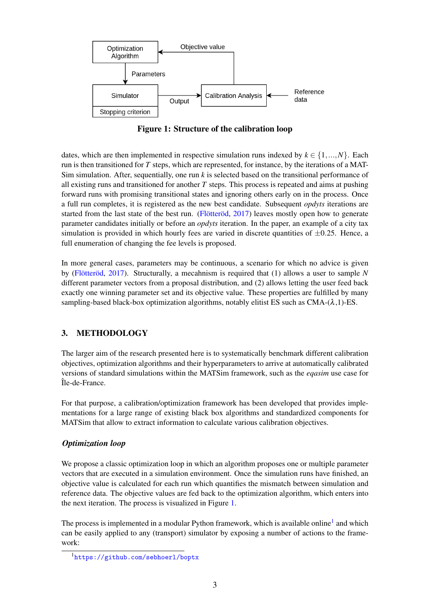<span id="page-2-0"></span>

Figure 1: Structure of the calibration loop

dates, which are then implemented in respective simulation runs indexed by  $k \in \{1,...,N\}$ . Each run is then transitioned for *T* steps, which are represented, for instance, by the iterations of a MAT-Sim simulation. After, sequentially, one run *k* is selected based on the transitional performance of all existing runs and transitioned for another  $T$  steps. This process is repeated and aims at pushing forward runs with promising transitional states and ignoring others early on in the process. Once a full run completes, it is registered as the new best candidate. Subsequent *opdyts* iterations are started from the last state of the best run. [\(Flötteröd,](#page-8-6) [2017\)](#page-8-6) leaves mostly open how to generate parameter candidates initially or before an *opdyts* iteration. In the paper, an example of a city tax simulation is provided in which hourly fees are varied in discrete quantities of  $\pm 0.25$ . Hence, a full enumeration of changing the fee levels is proposed.

In more general cases, parameters may be continuous, a scenario for which no advice is given by [\(Flötteröd,](#page-8-6) [2017\)](#page-8-6). Structurally, a mecahnism is required that (1) allows a user to sample *N* different parameter vectors from a proposal distribution, and (2) allows letting the user feed back exactly one winning parameter set and its objective value. These properties are fulfilled by many sampling-based black-box optimization algorithms, notably elitist ES such as  $CMA-(\lambda,1)$ -ES.

# 3. METHODOLOGY

The larger aim of the research presented here is to systematically benchmark different calibration objectives, optimization algorithms and their hyperparameters to arrive at automatically calibrated versions of standard simulations within the MATSim framework, such as the *eqasim* use case for Île-de-France.

For that purpose, a calibration/optimization framework has been developed that provides implementations for a large range of existing black box algorithms and standardized components for MATSim that allow to extract information to calculate various calibration objectives.

# *Optimization loop*

We propose a classic optimization loop in which an algorithm proposes one or multiple parameter vectors that are executed in a simulation environment. Once the simulation runs have finished, an objective value is calculated for each run which quantifies the mismatch between simulation and reference data. The objective values are fed back to the optimization algorithm, which enters into the next iteration. The process is visualized in Figure [1.](#page-2-0)

The process is implemented in a modular Python framework, which is available online<sup>[1](#page-2-1)</sup> and which can be easily applied to any (transport) simulator by exposing a number of actions to the framework:

<span id="page-2-1"></span><sup>1</sup><https://github.com/sebhoerl/boptx>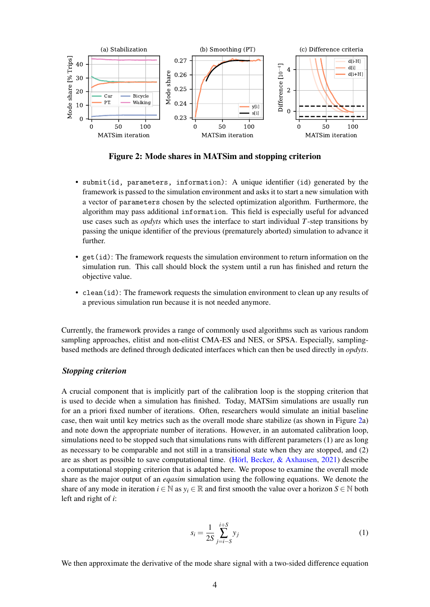<span id="page-3-0"></span>

Figure 2: Mode shares in MATSim and stopping criterion

- submit(id, parameters, information): A unique identifier (id) generated by the framework is passed to the simulation environment and asks it to start a new simulation with a vector of parameters chosen by the selected optimization algorithm. Furthermore, the algorithm may pass additional information. This field is especially useful for advanced use cases such as *opdyts* which uses the interface to start individual *T*-step transitions by passing the unique identifier of the previous (prematurely aborted) simulation to advance it further.
- get(id): The framework requests the simulation environment to return information on the simulation run. This call should block the system until a run has finished and return the objective value.
- clean(id): The framework requests the simulation environment to clean up any results of a previous simulation run because it is not needed anymore.

Currently, the framework provides a range of commonly used algorithms such as various random sampling approaches, elitist and non-elitist CMA-ES and NES, or SPSA. Especially, samplingbased methods are defined through dedicated interfaces which can then be used directly in *opdyts*.

### *Stopping criterion*

A crucial component that is implicitly part of the calibration loop is the stopping criterion that is used to decide when a simulation has finished. Today, MATSim simulations are usually run for an a priori fixed number of iterations. Often, researchers would simulate an initial baseline case, then wait until key metrics such as the overall mode share stabilize (as shown in Figure [2a](#page-3-0)) and note down the appropriate number of iterations. However, in an automated calibration loop, simulations need to be stopped such that simulations runs with different parameters (1) are as long as necessary to be comparable and not still in a transitional state when they are stopped, and (2) are as short as possible to save computational time. [\(Hörl, Becker, & Axhausen,](#page-8-9) [2021\)](#page-8-9) describe a computational stopping criterion that is adapted here. We propose to examine the overall mode share as the major output of an *eqasim* simulation using the following equations. We denote the share of any mode in iteration  $i \in \mathbb{N}$  as  $y_i \in \mathbb{R}$  and first smooth the value over a horizon  $S \in \mathbb{N}$  both left and right of *i*:

$$
s_i = \frac{1}{2S} \sum_{j=i-S}^{i+S} y_j
$$
 (1)

We then approximate the derivative of the mode share signal with a two-sided difference equation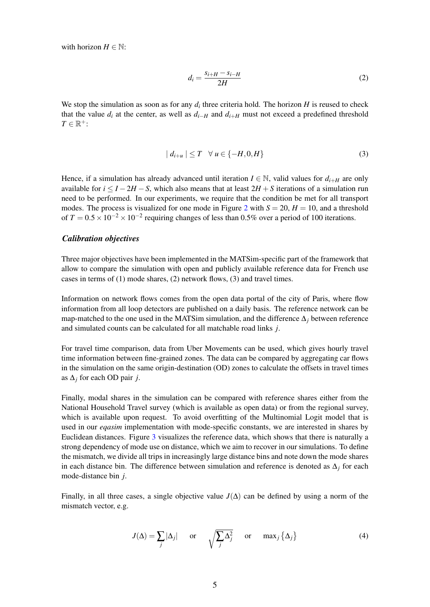with horizon  $H \in \mathbb{N}$ :

$$
d_i = \frac{s_{i+H} - s_{i-H}}{2H} \tag{2}
$$

We stop the simulation as soon as for any  $d_i$  three criteria hold. The horizon  $H$  is reused to check that the value  $d_i$  at the center, as well as  $d_{i-H}$  and  $d_{i+H}$  must not exceed a predefined threshold  $T \in \mathbb{R}^+$ :

$$
|d_{i+u}| \leq T \quad \forall \ u \in \{-H, 0, H\} \tag{3}
$$

Hence, if a simulation has already advanced until iteration  $I \in \mathbb{N}$ , valid values for  $d_{i+H}$  are only available for  $i < I - 2H - S$ , which also means that at least  $2H + S$  iterations of a simulation run need to be performed. In our experiments, we require that the condition be met for all transport modes. The process is visualized for one mode in Figure [2](#page-3-0) with  $S = 20$ ,  $H = 10$ , and a threshold of  $T = 0.5 \times 10^{-2} \times 10^{-2}$  requiring changes of less than 0.5% over a period of 100 iterations.

#### *Calibration objectives*

Three major objectives have been implemented in the MATSim-specific part of the framework that allow to compare the simulation with open and publicly available reference data for French use cases in terms of (1) mode shares, (2) network flows, (3) and travel times.

Information on network flows comes from the open data portal of the city of Paris, where flow information from all loop detectors are published on a daily basis. The reference network can be map-matched to the one used in the MATSim simulation, and the difference ∆*<sup>j</sup>* between reference and simulated counts can be calculated for all matchable road links *j*.

For travel time comparison, data from Uber Movements can be used, which gives hourly travel time information between fine-grained zones. The data can be compared by aggregating car flows in the simulation on the same origin-destination (OD) zones to calculate the offsets in travel times as  $\Delta_i$  for each OD pair *j*.

Finally, modal shares in the simulation can be compared with reference shares either from the National Household Travel survey (which is available as open data) or from the regional survey, which is available upon request. To avoid overfitting of the Multinomial Logit model that is used in our *eqasim* implementation with mode-specific constants, we are interested in shares by Euclidean distances. Figure [3](#page-5-0) visualizes the reference data, which shows that there is naturally a strong dependency of mode use on distance, which we aim to recover in our simulations. To define the mismatch, we divide all trips in increasingly large distance bins and note down the mode shares in each distance bin. The difference between simulation and reference is denoted as ∆*<sup>j</sup>* for each mode-distance bin *j*.

Finally, in all three cases, a single objective value  $J(\Delta)$  can be defined by using a norm of the mismatch vector, e.g.

$$
J(\Delta) = \sum_{j} |\Delta_j| \quad \text{or} \quad \sqrt{\sum_{j} \Delta_j^2} \quad \text{or} \quad \max_{j} {\{\Delta_j\}}
$$
 (4)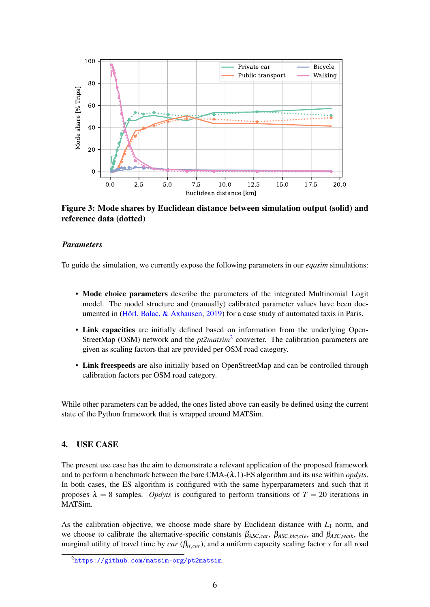<span id="page-5-0"></span>

Figure 3: Mode shares by Euclidean distance between simulation output (solid) and reference data (dotted)

#### *Parameters*

To guide the simulation, we currently expose the following parameters in our *eqasim* simulations:

- Mode choice parameters describe the parameters of the integrated Multinomial Logit model. The model structure and (manually) calibrated parameter values have been documented in [\(Hörl, Balac, & Axhausen,](#page-8-10) [2019\)](#page-8-10) for a case study of automated taxis in Paris.
- Link capacities are initially defined based on information from the underlying Open-StreetMap (OSM) network and the *pt[2](#page-5-1)matsim*<sup>2</sup> converter. The calibration parameters are given as scaling factors that are provided per OSM road category.
- Link freespeeds are also initially based on OpenStreetMap and can be controlled through calibration factors per OSM road category.

While other parameters can be added, the ones listed above can easily be defined using the current state of the Python framework that is wrapped around MATSim.

## 4. USE CASE

The present use case has the aim to demonstrate a relevant application of the proposed framework and to perform a benchmark between the bare  $CMA-(\lambda,1)$ -ES algorithm and its use within *opdyts*. In both cases, the ES algorithm is configured with the same hyperparameters and such that it proposes  $\lambda = 8$  samples. *Opdyts* is configured to perform transitions of  $T = 20$  iterations in MATSim.

As the calibration objective, we choose mode share by Euclidean distance with  $L_1$  norm, and we choose to calibrate the alternative-specific constants β*ASC*,*car*, β*ASC*,*bicycle*, and β*ASC*,*walk*, the marginal utility of travel time by *car* ( $\beta_{tt, car}$ ), and a uniform capacity scaling factor *s* for all road

<span id="page-5-1"></span><sup>2</sup><https://github.com/matsim-org/pt2matsim>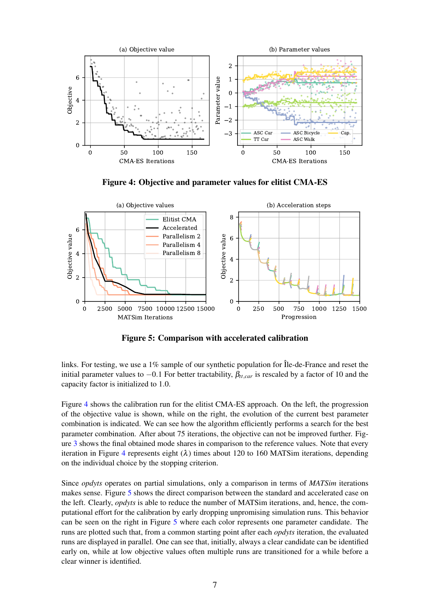<span id="page-6-0"></span>

Figure 4: Objective and parameter values for elitist CMA-ES

<span id="page-6-1"></span>

Figure 5: Comparison with accelerated calibration

links. For testing, we use a 1% sample of our synthetic population for Île-de-France and reset the initial parameter values to  $-0.1$  For better tractability,  $\beta_{tt, car}$  is rescaled by a factor of 10 and the capacity factor is initialized to 1.0.

Figure [4](#page-6-0) shows the calibration run for the elitist CMA-ES approach. On the left, the progression of the objective value is shown, while on the right, the evolution of the current best parameter combination is indicated. We can see how the algorithm efficiently performs a search for the best parameter combination. After about 75 iterations, the objective can not be improved further. Figure [3](#page-5-0) shows the final obtained mode shares in comparison to the reference values. Note that every iteration in Figure [4](#page-6-0) represents eight  $(\lambda)$  times about 120 to 160 MATSim iterations, depending on the individual choice by the stopping criterion.

Since *opdyts* operates on partial simulations, only a comparison in terms of *MATSim* iterations makes sense. Figure [5](#page-6-1) shows the direct comparison between the standard and accelerated case on the left. Clearly, *opdyts* is able to reduce the number of MATSim iterations, and, hence, the computational effort for the calibration by early dropping unpromising simulation runs. This behavior can be seen on the right in Figure [5](#page-6-1) where each color represents one parameter candidate. The runs are plotted such that, from a common starting point after each *opdyts* iteration, the evaluated runs are displayed in parallel. One can see that, initially, always a clear candidate can be identified early on, while at low objective values often multiple runs are transitioned for a while before a clear winner is identified.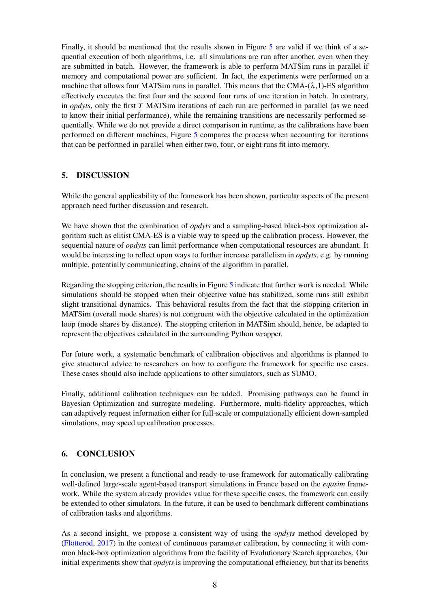Finally, it should be mentioned that the results shown in Figure [5](#page-6-1) are valid if we think of a sequential execution of both algorithms, i.e. all simulations are run after another, even when they are submitted in batch. However, the framework is able to perform MATSim runs in parallel if memory and computational power are sufficient. In fact, the experiments were performed on a machine that allows four MATSim runs in parallel. This means that the CMA- $(\lambda, 1)$ -ES algorithm effectively executes the first four and the second four runs of one iteration in batch. In contrary, in *opdyts*, only the first *T* MATSim iterations of each run are performed in parallel (as we need to know their initial performance), while the remaining transitions are necessarily performed sequentially. While we do not provide a direct comparison in runtime, as the calibrations have been performed on different machines, Figure [5](#page-6-1) compares the process when accounting for iterations that can be performed in parallel when either two, four, or eight runs fit into memory.

## 5. DISCUSSION

While the general applicability of the framework has been shown, particular aspects of the present approach need further discussion and research.

We have shown that the combination of *opdyts* and a sampling-based black-box optimization algorithm such as elitist CMA-ES is a viable way to speed up the calibration process. However, the sequential nature of *opdyts* can limit performance when computational resources are abundant. It would be interesting to reflect upon ways to further increase parallelism in *opdyts*, e.g. by running multiple, potentially communicating, chains of the algorithm in parallel.

Regarding the stopping criterion, the results in Figure [5](#page-6-1) indicate that further work is needed. While simulations should be stopped when their objective value has stabilized, some runs still exhibit slight transitional dynamics. This behavioral results from the fact that the stopping criterion in MATSim (overall mode shares) is not congruent with the objective calculated in the optimization loop (mode shares by distance). The stopping criterion in MATSim should, hence, be adapted to represent the objectives calculated in the surrounding Python wrapper.

For future work, a systematic benchmark of calibration objectives and algorithms is planned to give structured advice to researchers on how to configure the framework for specific use cases. These cases should also include applications to other simulators, such as SUMO.

Finally, additional calibration techniques can be added. Promising pathways can be found in Bayesian Optimization and surrogate modeling. Furthermore, multi-fidelity approaches, which can adaptively request information either for full-scale or computationally efficient down-sampled simulations, may speed up calibration processes.

# 6. CONCLUSION

In conclusion, we present a functional and ready-to-use framework for automatically calibrating well-defined large-scale agent-based transport simulations in France based on the *eqasim* framework. While the system already provides value for these specific cases, the framework can easily be extended to other simulators. In the future, it can be used to benchmark different combinations of calibration tasks and algorithms.

As a second insight, we propose a consistent way of using the *opdyts* method developed by [\(Flötteröd,](#page-8-6) [2017\)](#page-8-6) in the context of continuous parameter calibration, by connecting it with common black-box optimization algorithms from the facility of Evolutionary Search approaches. Our initial experiments show that *opdyts* is improving the computational efficiency, but that its benefits